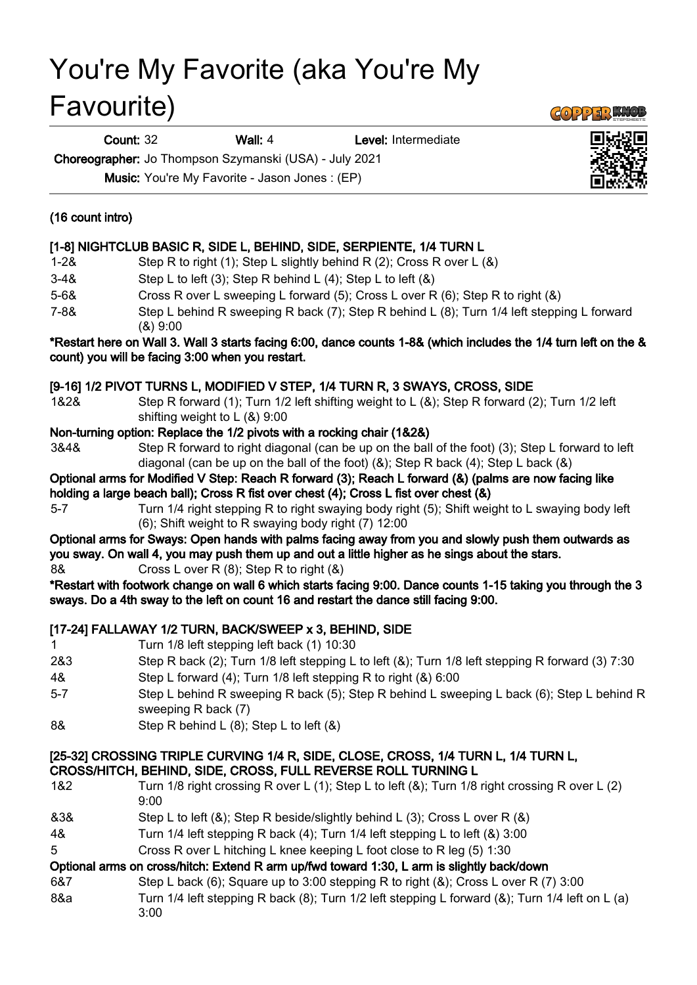# You're My Favorite (aka You're My Favourite)

Count: 32 Wall: 4 Level: Intermediate

Choreographer: Jo Thompson Szymanski (USA) - July 2021 Music: You're My Favorite - Jason Jones : (EP)

# (16 count intro)

# [1-8] NIGHTCLUB BASIC R, SIDE L, BEHIND, SIDE, SERPIENTE, 1/4 TURN L

- 1-2& Step R to right (1); Step L slightly behind R (2); Cross R over L (&)
- 3-4& Step L to left (3); Step R behind L (4); Step L to left (&)
- 5-6& Cross R over L sweeping L forward (5); Cross L over R (6); Step R to right (&)
- 7-8& Step L behind R sweeping R back (7); Step R behind L (8); Turn 1/4 left stepping L forward (&) 9:00

#### \*Restart here on Wall 3. Wall 3 starts facing 6:00, dance counts 1-8& (which includes the 1/4 turn left on the & count) you will be facing 3:00 when you restart.

# [9-16] 1/2 PIVOT TURNS L, MODIFIED V STEP, 1/4 TURN R, 3 SWAYS, CROSS, SIDE

1&2& Step R forward (1); Turn 1/2 left shifting weight to L (&); Step R forward (2); Turn 1/2 left shifting weight to L (&) 9:00

### Non-turning option: Replace the 1/2 pivots with a rocking chair (1&2&)

- 3&4& Step R forward to right diagonal (can be up on the ball of the foot) (3); Step L forward to left diagonal (can be up on the ball of the foot) (&); Step R back (4); Step L back (&)
- Optional arms for Modified V Step: Reach R forward (3); Reach L forward (&) (palms are now facing like holding a large beach ball); Cross R fist over chest (4); Cross L fist over chest (&)
- 5-7 Turn 1/4 right stepping R to right swaying body right (5); Shift weight to L swaying body left (6); Shift weight to R swaying body right (7) 12:00

## Optional arms for Sways: Open hands with palms facing away from you and slowly push them outwards as you sway. On wall 4, you may push them up and out a little higher as he sings about the stars.

8& Cross L over R (8); Step R to right (&)

\*Restart with footwork change on wall 6 which starts facing 9:00. Dance counts 1-15 taking you through the 3 sways. Do a 4th sway to the left on count 16 and restart the dance still facing 9:00.

# [17-24] FALLAWAY 1/2 TURN, BACK/SWEEP x 3, BEHIND, SIDE

- 1 Turn 1/8 left stepping left back (1) 10:30
- 2&3 Step R back (2); Turn 1/8 left stepping L to left (&); Turn 1/8 left stepping R forward (3) 7:30
- 4& Step L forward (4); Turn 1/8 left stepping R to right (&) 6:00
- 5-7 Step L behind R sweeping R back (5); Step R behind L sweeping L back (6); Step L behind R sweeping R back (7)
- 8& Step R behind L (8); Step L to left (&)

#### [25-32] CROSSING TRIPLE CURVING 1/4 R, SIDE, CLOSE, CROSS, 1/4 TURN L, 1/4 TURN L, CROSS/HITCH, BEHIND, SIDE, CROSS, FULL REVERSE ROLL TURNING L

- 1&2 Turn 1/8 right crossing R over L (1); Step L to left (&); Turn 1/8 right crossing R over L (2) 9:00 &3& Step L to left (&); Step R beside/slightly behind L (3); Cross L over R (&)
- 4& Turn 1/4 left stepping R back (4); Turn 1/4 left stepping L to left (&) 3:00
- 5 Cross R over L hitching L knee keeping L foot close to R leg (5) 1:30

### Optional arms on cross/hitch: Extend R arm up/fwd toward 1:30, L arm is slightly back/down

- 6&7 Step L back (6); Square up to 3:00 stepping R to right (&); Cross L over R (7) 3:00
- 8&a Turn 1/4 left stepping R back (8); Turn 1/2 left stepping L forward (&); Turn 1/4 left on L (a) 3:00



**GOPPER KNOL**